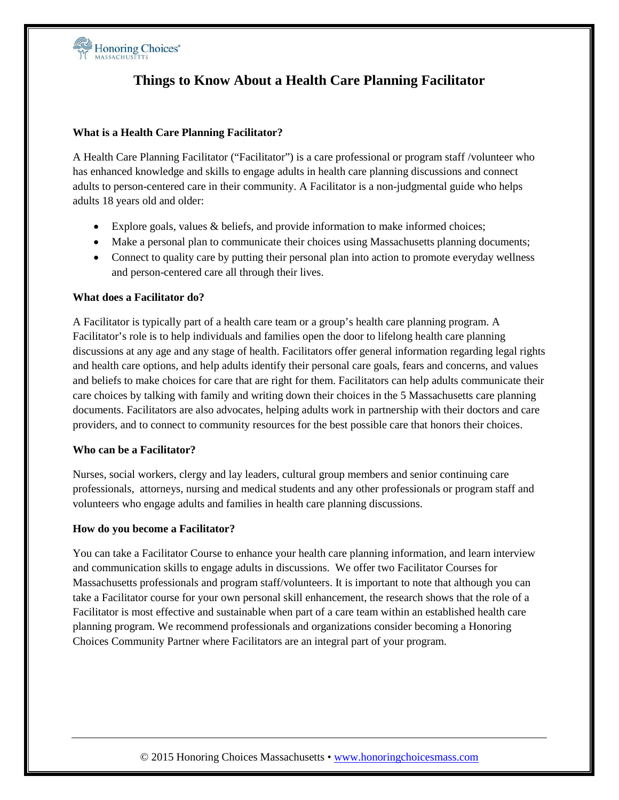

# **Things to Know About a Health Care Planning Facilitator**

### **What is a Health Care Planning Facilitator?**

A Health Care Planning Facilitator ("Facilitator") is a care professional or program staff /volunteer who has enhanced knowledge and skills to engage adults in health care planning discussions and connect adults to person-centered care in their community. A Facilitator is a non-judgmental guide who helps adults 18 years old and older:

- Explore goals, values & beliefs, and provide information to make informed choices;
- Make a personal plan to communicate their choices using Massachusetts planning documents;
- Connect to quality care by putting their personal plan into action to promote everyday wellness and person-centered care all through their lives.

#### **What does a Facilitator do?**

A Facilitator is typically part of a health care team or a group's health care planning program. A Facilitator's role is to help individuals and families open the door to lifelong health care planning discussions at any age and any stage of health. Facilitators offer general information regarding legal rights and health care options, and help adults identify their personal care goals, fears and concerns, and values and beliefs to make choices for care that are right for them. Facilitators can help adults communicate their care choices by talking with family and writing down their choices in the 5 Massachusetts care planning documents. Facilitators are also advocates, helping adults work in partnership with their doctors and care providers, and to connect to community resources for the best possible care that honors their choices.

#### **Who can be a Facilitator?**

Nurses, social workers, clergy and lay leaders, cultural group members and senior continuing care professionals, attorneys, nursing and medical students and any other professionals or program staff and volunteers who engage adults and families in health care planning discussions.

#### **How do you become a Facilitator?**

You can take a Facilitator Course to enhance your health care planning information, and learn interview and communication skills to engage adults in discussions. We offer two Facilitator Courses for Massachusetts professionals and program staff/volunteers. It is important to note that although you can take a Facilitator course for your own personal skill enhancement, the research shows that the role of a Facilitator is most effective and sustainable when part of a care team within an established health care planning program. We recommend professionals and organizations consider becoming a Honoring Choices Community Partner where Facilitators are an integral part of your program.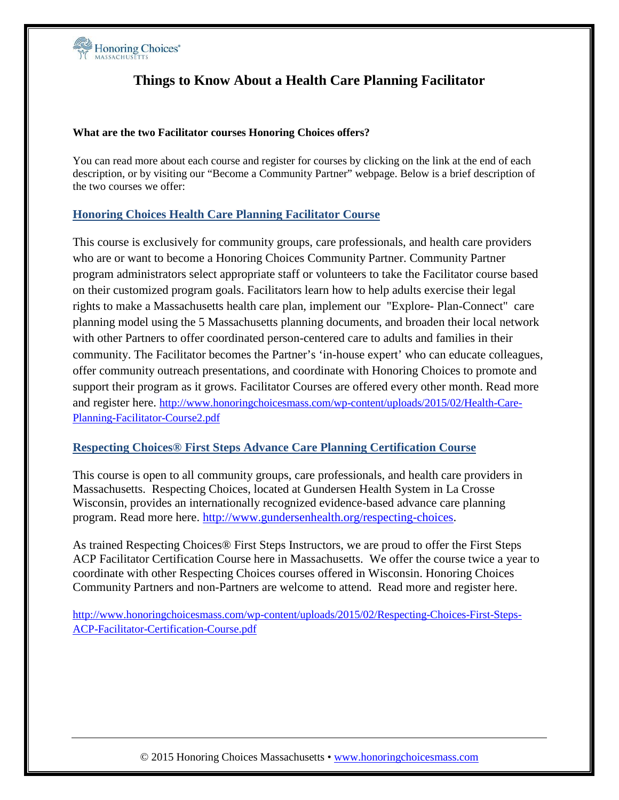

# **Things to Know About a Health Care Planning Facilitator**

### **What are the two Facilitator courses Honoring Choices offers?**

You can read more about each course and register for courses by clicking on the link at the end of each description, or by visiting our "Become a Community Partner" webpage. Below is a brief description of the two courses we offer:

## **Honoring Choices Health Care Planning Facilitator Course**

This course is exclusively for community groups, care professionals, and health care providers who are or want to become a Honoring Choices Community Partner. Community Partner program administrators select appropriate staff or volunteers to take the Facilitator course based on their customized program goals. Facilitators learn how to help adults exercise their legal rights to make a Massachusetts health care plan, implement our "Explore- Plan-Connect" care planning model using the 5 Massachusetts planning documents, and broaden their local network with other Partners to offer coordinated person-centered care to adults and families in their community. The Facilitator becomes the Partner's 'in-house expert' who can educate colleagues, offer community outreach presentations, and coordinate with Honoring Choices to promote and support their program as it grows. Facilitator Courses are offered every other month. Read more and register here. [http://www.honoringchoicesmass.com/wp-content/uploads/2015/02/Health-Care-](http://www.honoringchoicesmass.com/wp-content/uploads/2015/02/Health-Care-Planning-Facilitator-Course2.pdf)[Planning-Facilitator-Course2.pdf](http://www.honoringchoicesmass.com/wp-content/uploads/2015/02/Health-Care-Planning-Facilitator-Course2.pdf)

## **Respecting Choices® First Steps Advance Care Planning Certification Course**

This course is open to all community groups, care professionals, and health care providers in Massachusetts. Respecting Choices, located at Gundersen Health System in La Crosse Wisconsin, provides an internationally recognized evidence-based advance care planning program. Read more here. [http://www.gundersenhealth.org/respecting-choices.](http://www.gundersenhealth.org/respecting-choices)

As trained Respecting Choices® First Steps Instructors, we are proud to offer the First Steps ACP Facilitator Certification Course here in Massachusetts. We offer the course twice a year to coordinate with other Respecting Choices courses offered in Wisconsin. Honoring Choices Community Partners and non-Partners are welcome to attend. Read more and register here.

[http://www.honoringchoicesmass.com/wp-content/uploads/2015/02/Respecting-Choices-First-Steps-](http://www.honoringchoicesmass.com/wp-content/uploads/2015/02/Respecting-Choices-First-Steps-ACP-Facilitator-Certification-Course.pdf)[ACP-Facilitator-Certification-Course.pdf](http://www.honoringchoicesmass.com/wp-content/uploads/2015/02/Respecting-Choices-First-Steps-ACP-Facilitator-Certification-Course.pdf)